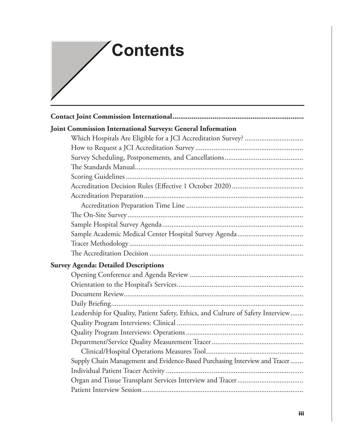## **Contents**

| Joint Commission International Surveys: General Information                     |
|---------------------------------------------------------------------------------|
|                                                                                 |
|                                                                                 |
|                                                                                 |
|                                                                                 |
|                                                                                 |
|                                                                                 |
|                                                                                 |
|                                                                                 |
|                                                                                 |
|                                                                                 |
|                                                                                 |
|                                                                                 |
|                                                                                 |
| <b>Survey Agenda: Detailed Descriptions</b>                                     |
|                                                                                 |
|                                                                                 |
|                                                                                 |
|                                                                                 |
| Leadership for Quality, Patient Safety, Ethics, and Culture of Safety Interview |
|                                                                                 |
|                                                                                 |
|                                                                                 |
|                                                                                 |
| Supply Chain Management and Evidence-Based Purchasing Interview and Tracer      |
|                                                                                 |
|                                                                                 |
|                                                                                 |